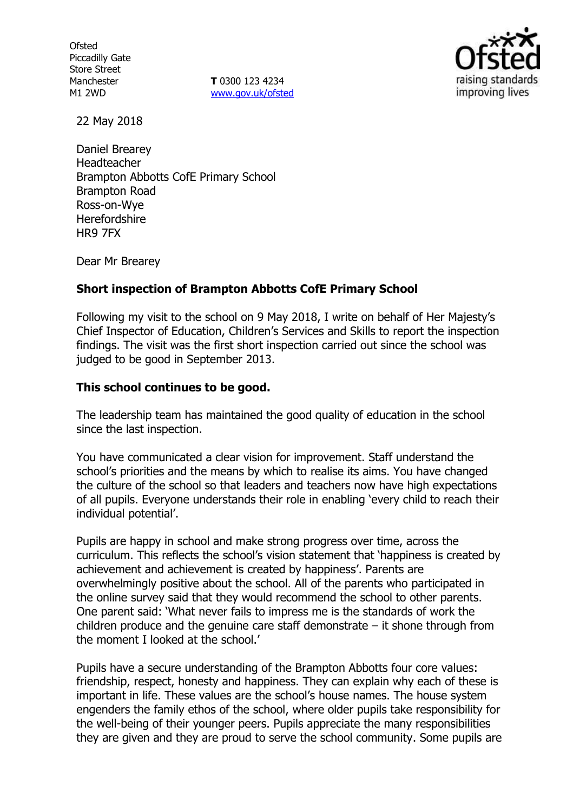**Ofsted** Piccadilly Gate Store Street Manchester M1 2WD

**T** 0300 123 4234 [www.gov.uk/ofsted](http://www.gov.uk/ofsted)



22 May 2018

Daniel Brearey Headteacher Brampton Abbotts CofE Primary School Brampton Road Ross-on-Wye **Herefordshire** HR9 7FX

Dear Mr Brearey

### **Short inspection of Brampton Abbotts CofE Primary School**

Following my visit to the school on 9 May 2018, I write on behalf of Her Majesty's Chief Inspector of Education, Children's Services and Skills to report the inspection findings. The visit was the first short inspection carried out since the school was judged to be good in September 2013.

### **This school continues to be good.**

The leadership team has maintained the good quality of education in the school since the last inspection.

You have communicated a clear vision for improvement. Staff understand the school's priorities and the means by which to realise its aims. You have changed the culture of the school so that leaders and teachers now have high expectations of all pupils. Everyone understands their role in enabling 'every child to reach their individual potential'.

Pupils are happy in school and make strong progress over time, across the curriculum. This reflects the school's vision statement that 'happiness is created by achievement and achievement is created by happiness'. Parents are overwhelmingly positive about the school. All of the parents who participated in the online survey said that they would recommend the school to other parents. One parent said: 'What never fails to impress me is the standards of work the children produce and the genuine care staff demonstrate  $-$  it shone through from the moment I looked at the school.'

Pupils have a secure understanding of the Brampton Abbotts four core values: friendship, respect, honesty and happiness. They can explain why each of these is important in life. These values are the school's house names. The house system engenders the family ethos of the school, where older pupils take responsibility for the well-being of their younger peers. Pupils appreciate the many responsibilities they are given and they are proud to serve the school community. Some pupils are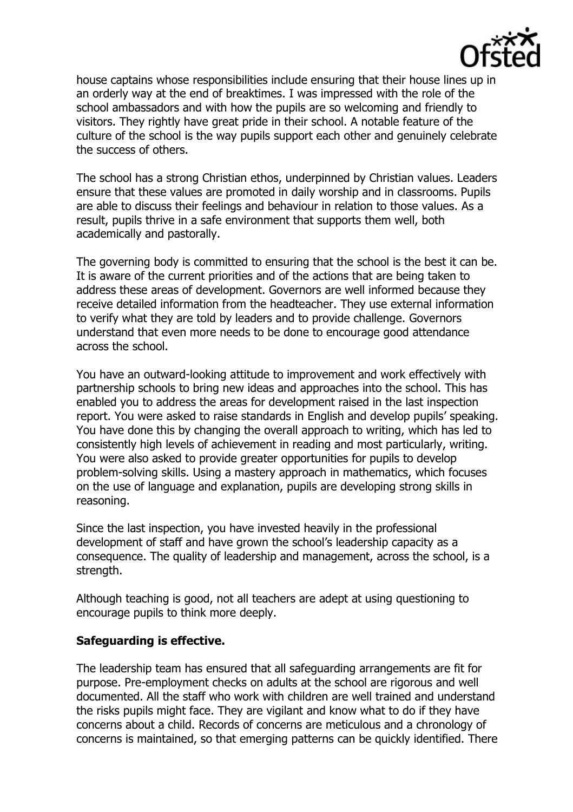

house captains whose responsibilities include ensuring that their house lines up in an orderly way at the end of breaktimes. I was impressed with the role of the school ambassadors and with how the pupils are so welcoming and friendly to visitors. They rightly have great pride in their school. A notable feature of the culture of the school is the way pupils support each other and genuinely celebrate the success of others.

The school has a strong Christian ethos, underpinned by Christian values. Leaders ensure that these values are promoted in daily worship and in classrooms. Pupils are able to discuss their feelings and behaviour in relation to those values. As a result, pupils thrive in a safe environment that supports them well, both academically and pastorally.

The governing body is committed to ensuring that the school is the best it can be. It is aware of the current priorities and of the actions that are being taken to address these areas of development. Governors are well informed because they receive detailed information from the headteacher. They use external information to verify what they are told by leaders and to provide challenge. Governors understand that even more needs to be done to encourage good attendance across the school.

You have an outward-looking attitude to improvement and work effectively with partnership schools to bring new ideas and approaches into the school. This has enabled you to address the areas for development raised in the last inspection report. You were asked to raise standards in English and develop pupils' speaking. You have done this by changing the overall approach to writing, which has led to consistently high levels of achievement in reading and most particularly, writing. You were also asked to provide greater opportunities for pupils to develop problem-solving skills. Using a mastery approach in mathematics, which focuses on the use of language and explanation, pupils are developing strong skills in reasoning.

Since the last inspection, you have invested heavily in the professional development of staff and have grown the school's leadership capacity as a consequence. The quality of leadership and management, across the school, is a strength.

Although teaching is good, not all teachers are adept at using questioning to encourage pupils to think more deeply.

## **Safeguarding is effective.**

The leadership team has ensured that all safeguarding arrangements are fit for purpose. Pre-employment checks on adults at the school are rigorous and well documented. All the staff who work with children are well trained and understand the risks pupils might face. They are vigilant and know what to do if they have concerns about a child. Records of concerns are meticulous and a chronology of concerns is maintained, so that emerging patterns can be quickly identified. There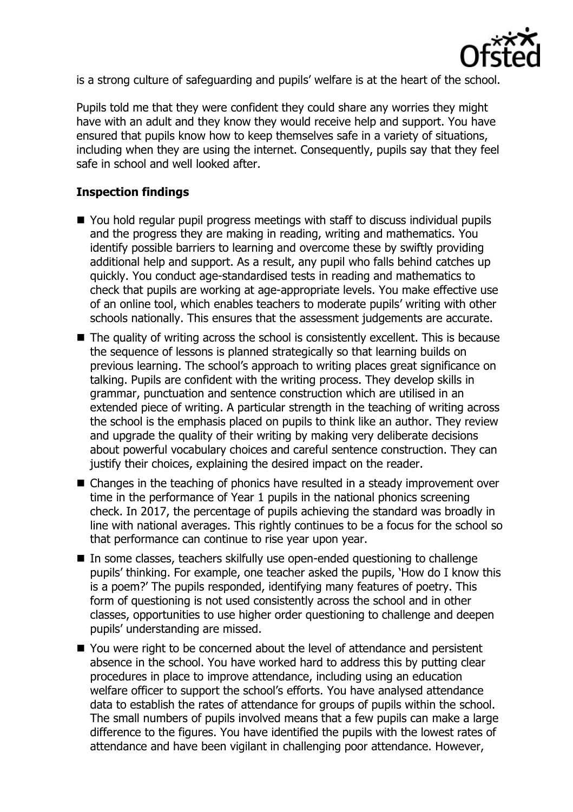

is a strong culture of safeguarding and pupils' welfare is at the heart of the school.

Pupils told me that they were confident they could share any worries they might have with an adult and they know they would receive help and support. You have ensured that pupils know how to keep themselves safe in a variety of situations, including when they are using the internet. Consequently, pupils say that they feel safe in school and well looked after.

# **Inspection findings**

- You hold regular pupil progress meetings with staff to discuss individual pupils and the progress they are making in reading, writing and mathematics. You identify possible barriers to learning and overcome these by swiftly providing additional help and support. As a result, any pupil who falls behind catches up quickly. You conduct age-standardised tests in reading and mathematics to check that pupils are working at age-appropriate levels. You make effective use of an online tool, which enables teachers to moderate pupils' writing with other schools nationally. This ensures that the assessment judgements are accurate.
- $\blacksquare$  The quality of writing across the school is consistently excellent. This is because the sequence of lessons is planned strategically so that learning builds on previous learning. The school's approach to writing places great significance on talking. Pupils are confident with the writing process. They develop skills in grammar, punctuation and sentence construction which are utilised in an extended piece of writing. A particular strength in the teaching of writing across the school is the emphasis placed on pupils to think like an author. They review and upgrade the quality of their writing by making very deliberate decisions about powerful vocabulary choices and careful sentence construction. They can justify their choices, explaining the desired impact on the reader.
- Changes in the teaching of phonics have resulted in a steady improvement over time in the performance of Year 1 pupils in the national phonics screening check. In 2017, the percentage of pupils achieving the standard was broadly in line with national averages. This rightly continues to be a focus for the school so that performance can continue to rise year upon year.
- In some classes, teachers skilfully use open-ended questioning to challenge pupils' thinking. For example, one teacher asked the pupils, 'How do I know this is a poem?' The pupils responded, identifying many features of poetry. This form of questioning is not used consistently across the school and in other classes, opportunities to use higher order questioning to challenge and deepen pupils' understanding are missed.
- You were right to be concerned about the level of attendance and persistent absence in the school. You have worked hard to address this by putting clear procedures in place to improve attendance, including using an education welfare officer to support the school's efforts. You have analysed attendance data to establish the rates of attendance for groups of pupils within the school. The small numbers of pupils involved means that a few pupils can make a large difference to the figures. You have identified the pupils with the lowest rates of attendance and have been vigilant in challenging poor attendance. However,